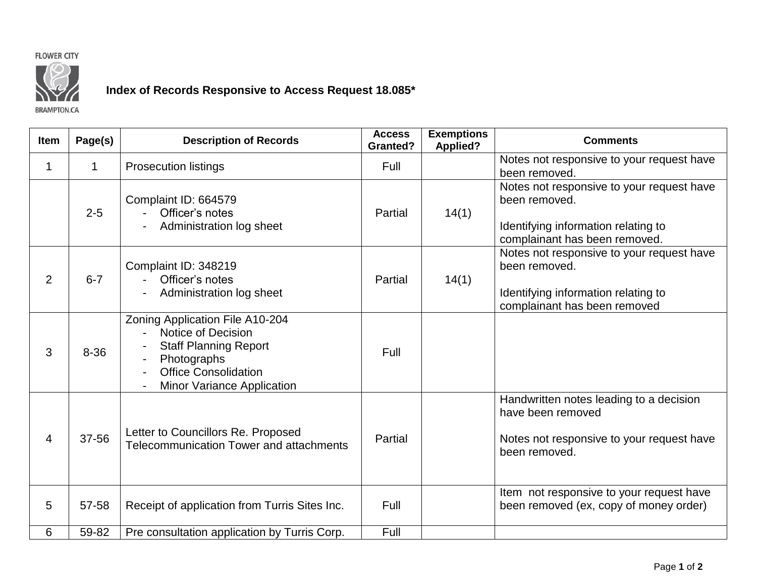



## **Index of Records Responsive to Access Request 18.085\***

**BRAMPTON.CA** 

| <b>Item</b>    | Page(s)  | <b>Description of Records</b>                                                                                                                                                              | <b>Access</b><br><b>Granted?</b> | <b>Exemptions</b><br><b>Applied?</b> | <b>Comments</b>                                                                                                                    |
|----------------|----------|--------------------------------------------------------------------------------------------------------------------------------------------------------------------------------------------|----------------------------------|--------------------------------------|------------------------------------------------------------------------------------------------------------------------------------|
| 1              | 1        | <b>Prosecution listings</b>                                                                                                                                                                | Full                             |                                      | Notes not responsive to your request have<br>been removed.                                                                         |
|                | $2 - 5$  | Complaint ID: 664579<br>Officer's notes<br>Administration log sheet                                                                                                                        | Partial                          | 14(1)                                | Notes not responsive to your request have<br>been removed.<br>Identifying information relating to<br>complainant has been removed. |
| 2              | $6 - 7$  | Complaint ID: 348219<br>Officer's notes<br>Administration log sheet                                                                                                                        | Partial                          | 14(1)                                | Notes not responsive to your request have<br>been removed.<br>Identifying information relating to<br>complainant has been removed  |
| 3              | $8 - 36$ | Zoning Application File A10-204<br>Notice of Decision<br>$\blacksquare$<br><b>Staff Planning Report</b><br>Photographs<br><b>Office Consolidation</b><br><b>Minor Variance Application</b> | Full                             |                                      |                                                                                                                                    |
| $\overline{4}$ | 37-56    | Letter to Councillors Re. Proposed<br>Telecommunication Tower and attachments                                                                                                              | Partial                          |                                      | Handwritten notes leading to a decision<br>have been removed<br>Notes not responsive to your request have<br>been removed.         |
| 5              | 57-58    | Receipt of application from Turris Sites Inc.                                                                                                                                              | Full                             |                                      | Item not responsive to your request have<br>been removed (ex, copy of money order)                                                 |
| 6              | 59-82    | Pre consultation application by Turris Corp.                                                                                                                                               | Full                             |                                      |                                                                                                                                    |